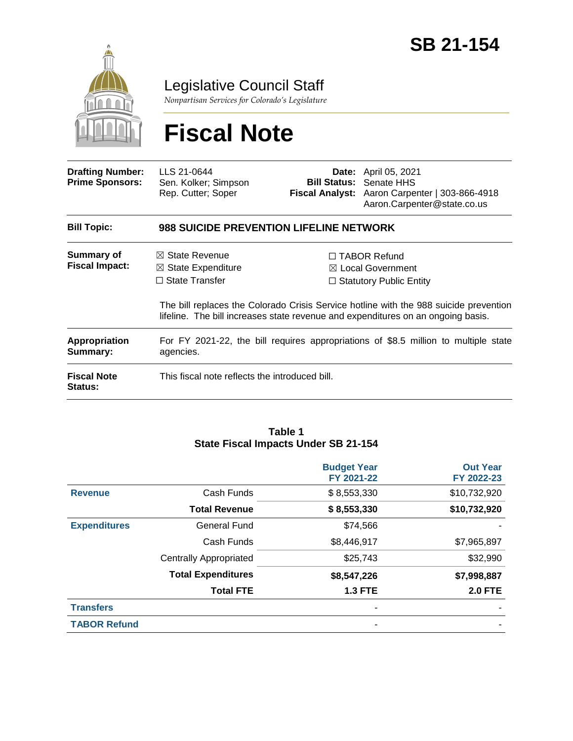

Legislative Council Staff

*Nonpartisan Services for Colorado's Legislature*

# **Fiscal Note**

| <b>Drafting Number:</b><br><b>Prime Sponsors:</b> | LLS 21-0644<br>Sen. Kolker; Simpson<br>Rep. Cutter; Soper                                                                                                                 |  | <b>Date:</b> April 05, 2021<br><b>Bill Status: Senate HHS</b><br>Fiscal Analyst: Aaron Carpenter   303-866-4918<br>Aaron.Carpenter@state.co.us |  |  |
|---------------------------------------------------|---------------------------------------------------------------------------------------------------------------------------------------------------------------------------|--|------------------------------------------------------------------------------------------------------------------------------------------------|--|--|
| <b>Bill Topic:</b>                                | 988 SUICIDE PREVENTION LIFELINE NETWORK                                                                                                                                   |  |                                                                                                                                                |  |  |
| Summary of                                        | $\boxtimes$ State Revenue                                                                                                                                                 |  | $\Box$ TABOR Refund                                                                                                                            |  |  |
| <b>Fiscal Impact:</b>                             | $\boxtimes$ State Expenditure                                                                                                                                             |  | $\boxtimes$ Local Government                                                                                                                   |  |  |
|                                                   | $\Box$ State Transfer                                                                                                                                                     |  | $\Box$ Statutory Public Entity                                                                                                                 |  |  |
|                                                   | The bill replaces the Colorado Crisis Service hotline with the 988 suicide prevention<br>lifeline. The bill increases state revenue and expenditures on an ongoing basis. |  |                                                                                                                                                |  |  |
| <b>Appropriation</b><br>Summary:                  | For FY 2021-22, the bill requires appropriations of \$8.5 million to multiple state<br>agencies.                                                                          |  |                                                                                                                                                |  |  |
| <b>Fiscal Note</b><br>Status:                     | This fiscal note reflects the introduced bill.                                                                                                                            |  |                                                                                                                                                |  |  |

#### **Table 1 State Fiscal Impacts Under SB 21-154**

|                     |                               | <b>Budget Year</b><br>FY 2021-22 | <b>Out Year</b><br>FY 2022-23 |
|---------------------|-------------------------------|----------------------------------|-------------------------------|
| <b>Revenue</b>      | Cash Funds                    | \$8,553,330                      | \$10,732,920                  |
|                     | <b>Total Revenue</b>          | \$8,553,330                      | \$10,732,920                  |
| <b>Expenditures</b> | <b>General Fund</b>           | \$74,566                         |                               |
|                     | Cash Funds                    | \$8,446,917                      | \$7,965,897                   |
|                     | <b>Centrally Appropriated</b> | \$25,743                         | \$32,990                      |
|                     | <b>Total Expenditures</b>     | \$8,547,226                      | \$7,998,887                   |
|                     | <b>Total FTE</b>              | <b>1.3 FTE</b>                   | <b>2.0 FTE</b>                |
| <b>Transfers</b>    |                               |                                  |                               |
| <b>TABOR Refund</b> |                               |                                  |                               |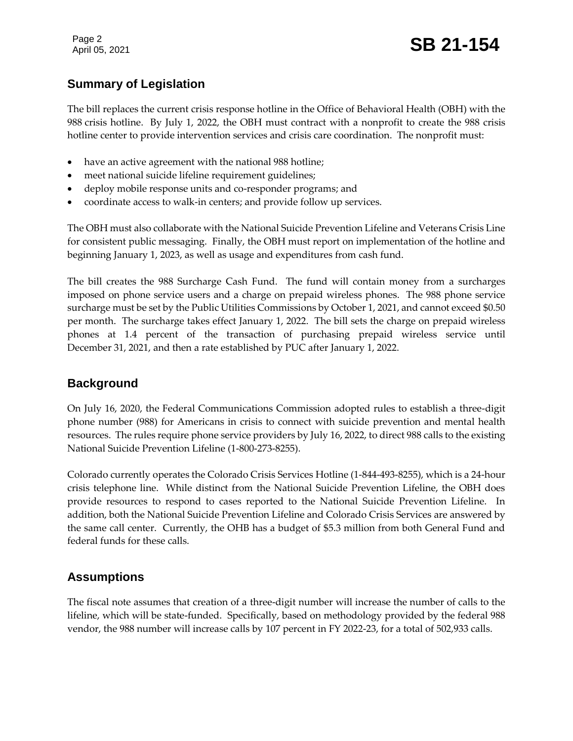Page 2

## Page 2<br>April 05, 2021 **SB 21-154**

### **Summary of Legislation**

The bill replaces the current crisis response hotline in the Office of Behavioral Health (OBH) with the 988 crisis hotline. By July 1, 2022, the OBH must contract with a nonprofit to create the 988 crisis hotline center to provide intervention services and crisis care coordination. The nonprofit must:

- have an active agreement with the national 988 hotline;
- meet national suicide lifeline requirement guidelines;
- deploy mobile response units and co-responder programs; and
- coordinate access to walk-in centers; and provide follow up services.

The OBH must also collaborate with the National Suicide Prevention Lifeline and Veterans Crisis Line for consistent public messaging. Finally, the OBH must report on implementation of the hotline and beginning January 1, 2023, as well as usage and expenditures from cash fund.

The bill creates the 988 Surcharge Cash Fund. The fund will contain money from a surcharges imposed on phone service users and a charge on prepaid wireless phones. The 988 phone service surcharge must be set by the Public Utilities Commissions by October 1, 2021, and cannot exceed \$0.50 per month. The surcharge takes effect January 1, 2022. The bill sets the charge on prepaid wireless phones at 1.4 percent of the transaction of purchasing prepaid wireless service until December 31, 2021, and then a rate established by PUC after January 1, 2022.

#### **Background**

On July 16, 2020, the Federal Communications Commission adopted rules to establish a three-digit phone number (988) for Americans in crisis to connect with suicide prevention and mental health resources. The rules require phone service providers by July 16, 2022, to direct 988 calls to the existing National Suicide Prevention Lifeline (1-800-273-8255).

Colorado currently operates the Colorado Crisis Services Hotline (1-844-493-8255), which is a 24-hour crisis telephone line. While distinct from the National Suicide Prevention Lifeline, the OBH does provide resources to respond to cases reported to the National Suicide Prevention Lifeline. In addition, both the National Suicide Prevention Lifeline and Colorado Crisis Services are answered by the same call center. Currently, the OHB has a budget of \$5.3 million from both General Fund and federal funds for these calls.

#### **Assumptions**

The fiscal note assumes that creation of a three-digit number will increase the number of calls to the lifeline, which will be state-funded. Specifically, based on methodology provided by the federal 988 vendor, the 988 number will increase calls by 107 percent in FY 2022-23, for a total of 502,933 calls.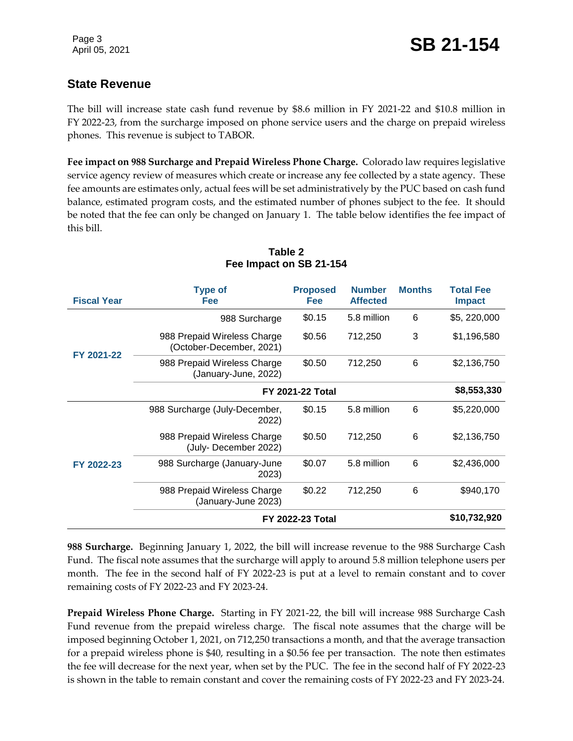#### **State Revenue**

The bill will increase state cash fund revenue by \$8.6 million in FY 2021-22 and \$10.8 million in FY 2022-23, from the surcharge imposed on phone service users and the charge on prepaid wireless phones. This revenue is subject to TABOR.

**Fee impact on 988 Surcharge and Prepaid Wireless Phone Charge.** Colorado law requires legislative service agency review of measures which create or increase any fee collected by a state agency. These fee amounts are estimates only, actual fees will be set administratively by the PUC based on cash fund balance, estimated program costs, and the estimated number of phones subject to the fee. It should be noted that the fee can only be changed on January 1. The table below identifies the fee impact of this bill.

| <b>Fiscal Year</b> | <b>Type of</b><br>Fee                                                    | <b>Proposed</b><br><b>Fee</b> | <b>Number</b><br><b>Affected</b> | <b>Months</b> | <b>Total Fee</b><br><b>Impact</b> |
|--------------------|--------------------------------------------------------------------------|-------------------------------|----------------------------------|---------------|-----------------------------------|
| FY 2021-22         | 988 Surcharge                                                            | \$0.15                        | 5.8 million                      | 6             | \$5, 220,000                      |
|                    | 988 Prepaid Wireless Charge<br>(October-December, 2021)                  | \$0.56                        | 712,250                          | 3             | \$1,196,580                       |
|                    | 988 Prepaid Wireless Charge<br>(January-June, 2022)                      | \$0.50                        | 712,250                          | 6             | \$2,136,750                       |
|                    | <b>FY 2021-22 Total</b>                                                  |                               |                                  |               | \$8,553,330                       |
|                    | 988 Surcharge (July-December,<br>2022)                                   | \$0.15                        | 5.8 million                      | 6             | \$5,220,000                       |
|                    | \$0.50<br>988 Prepaid Wireless Charge<br>712,250<br>(July-December 2022) | 6                             | \$2,136,750                      |               |                                   |
| FY 2022-23         | 988 Surcharge (January-June<br>2023)                                     | \$0.07                        | 5.8 million                      | 6             | \$2,436,000                       |
|                    | 988 Prepaid Wireless Charge<br>(January-June 2023)                       | \$0.22                        | 712,250                          | 6             | \$940,170                         |
|                    |                                                                          | <b>FY 2022-23 Total</b>       |                                  |               | \$10,732,920                      |

#### **Table 2 Fee Impact on SB 21-154**

**988 Surcharge.** Beginning January 1, 2022, the bill will increase revenue to the 988 Surcharge Cash Fund. The fiscal note assumes that the surcharge will apply to around 5.8 million telephone users per month. The fee in the second half of FY 2022-23 is put at a level to remain constant and to cover remaining costs of FY 2022-23 and FY 2023-24.

**Prepaid Wireless Phone Charge.** Starting in FY 2021-22, the bill will increase 988 Surcharge Cash Fund revenue from the prepaid wireless charge. The fiscal note assumes that the charge will be imposed beginning October 1, 2021, on 712,250 transactions a month, and that the average transaction for a prepaid wireless phone is \$40, resulting in a \$0.56 fee per transaction. The note then estimates the fee will decrease for the next year, when set by the PUC. The fee in the second half of FY 2022-23 is shown in the table to remain constant and cover the remaining costs of FY 2022-23 and FY 2023-24.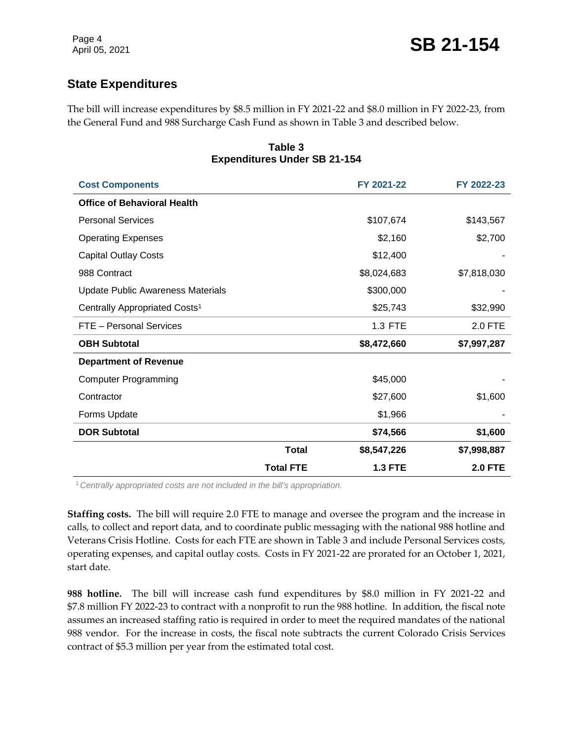#### **State Expenditures**

The bill will increase expenditures by \$8.5 million in FY 2021-22 and \$8.0 million in FY 2022-23, from the General Fund and 988 Surcharge Cash Fund as shown in Table 3 and described below.

| <b>Expenditures Under SB 21-154</b>       |                  |                |                |
|-------------------------------------------|------------------|----------------|----------------|
| <b>Cost Components</b>                    |                  | FY 2021-22     | FY 2022-23     |
| <b>Office of Behavioral Health</b>        |                  |                |                |
| <b>Personal Services</b>                  |                  | \$107,674      | \$143,567      |
| <b>Operating Expenses</b>                 |                  | \$2,160        | \$2,700        |
| <b>Capital Outlay Costs</b>               |                  | \$12,400       |                |
| 988 Contract                              |                  | \$8,024,683    | \$7,818,030    |
| <b>Update Public Awareness Materials</b>  |                  | \$300,000      |                |
| Centrally Appropriated Costs <sup>1</sup> |                  | \$25,743       | \$32,990       |
| FTE - Personal Services                   |                  | 1.3 FTE        | 2.0 FTE        |
| <b>OBH Subtotal</b>                       |                  | \$8,472,660    | \$7,997,287    |
| <b>Department of Revenue</b>              |                  |                |                |
| <b>Computer Programming</b>               |                  | \$45,000       |                |
| Contractor                                |                  | \$27,600       | \$1,600        |
| Forms Update                              |                  | \$1,966        |                |
| <b>DOR Subtotal</b>                       |                  | \$74,566       | \$1,600        |
|                                           | <b>Total</b>     | \$8,547,226    | \$7,998,887    |
|                                           | <b>Total FTE</b> | <b>1.3 FTE</b> | <b>2.0 FTE</b> |

## **Table 3**

<sup>1</sup>*Centrally appropriated costs are not included in the bill's appropriation.*

**Staffing costs.** The bill will require 2.0 FTE to manage and oversee the program and the increase in calls, to collect and report data, and to coordinate public messaging with the national 988 hotline and Veterans Crisis Hotline. Costs for each FTE are shown in Table 3 and include Personal Services costs, operating expenses, and capital outlay costs. Costs in FY 2021-22 are prorated for an October 1, 2021, start date.

**988 hotline.** The bill will increase cash fund expenditures by \$8.0 million in FY 2021-22 and \$7.8 million FY 2022-23 to contract with a nonprofit to run the 988 hotline. In addition, the fiscal note assumes an increased staffing ratio is required in order to meet the required mandates of the national 988 vendor. For the increase in costs, the fiscal note subtracts the current Colorado Crisis Services contract of \$5.3 million per year from the estimated total cost.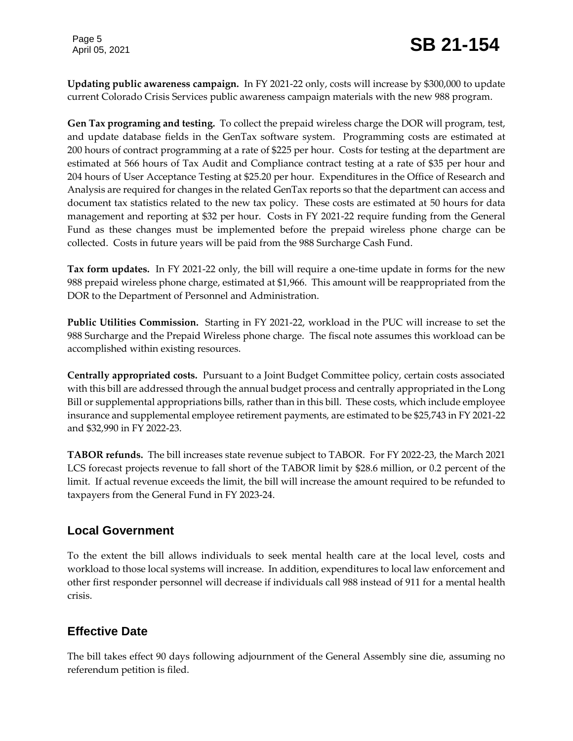Page 5

## Page 5<br>April 05, 2021 **SB 21-154**

**Updating public awareness campaign.** In FY 2021-22 only, costs will increase by \$300,000 to update current Colorado Crisis Services public awareness campaign materials with the new 988 program.

**Gen Tax programing and testing.** To collect the prepaid wireless charge the DOR will program, test, and update database fields in the GenTax software system. Programming costs are estimated at 200 hours of contract programming at a rate of \$225 per hour. Costs for testing at the department are estimated at 566 hours of Tax Audit and Compliance contract testing at a rate of \$35 per hour and 204 hours of User Acceptance Testing at \$25.20 per hour. Expenditures in the Office of Research and Analysis are required for changes in the related GenTax reports so that the department can access and document tax statistics related to the new tax policy. These costs are estimated at 50 hours for data management and reporting at \$32 per hour. Costs in FY 2021-22 require funding from the General Fund as these changes must be implemented before the prepaid wireless phone charge can be collected. Costs in future years will be paid from the 988 Surcharge Cash Fund.

**Tax form updates.** In FY 2021-22 only, the bill will require a one-time update in forms for the new 988 prepaid wireless phone charge, estimated at \$1,966. This amount will be reappropriated from the DOR to the Department of Personnel and Administration.

**Public Utilities Commission.** Starting in FY 2021-22, workload in the PUC will increase to set the 988 Surcharge and the Prepaid Wireless phone charge. The fiscal note assumes this workload can be accomplished within existing resources.

**Centrally appropriated costs.** Pursuant to a Joint Budget Committee policy, certain costs associated with this bill are addressed through the annual budget process and centrally appropriated in the Long Bill or supplemental appropriations bills, rather than in this bill. These costs, which include employee insurance and supplemental employee retirement payments, are estimated to be \$25,743 in FY 2021-22 and \$32,990 in FY 2022-23.

**TABOR refunds.** The bill increases state revenue subject to TABOR. For FY 2022-23, the March 2021 LCS forecast projects revenue to fall short of the TABOR limit by \$28.6 million, or 0.2 percent of the limit. If actual revenue exceeds the limit, the bill will increase the amount required to be refunded to taxpayers from the General Fund in FY 2023-24.

#### **Local Government**

To the extent the bill allows individuals to seek mental health care at the local level, costs and workload to those local systems will increase. In addition, expenditures to local law enforcement and other first responder personnel will decrease if individuals call 988 instead of 911 for a mental health crisis.

#### **Effective Date**

The bill takes effect 90 days following adjournment of the General Assembly sine die, assuming no referendum petition is filed.